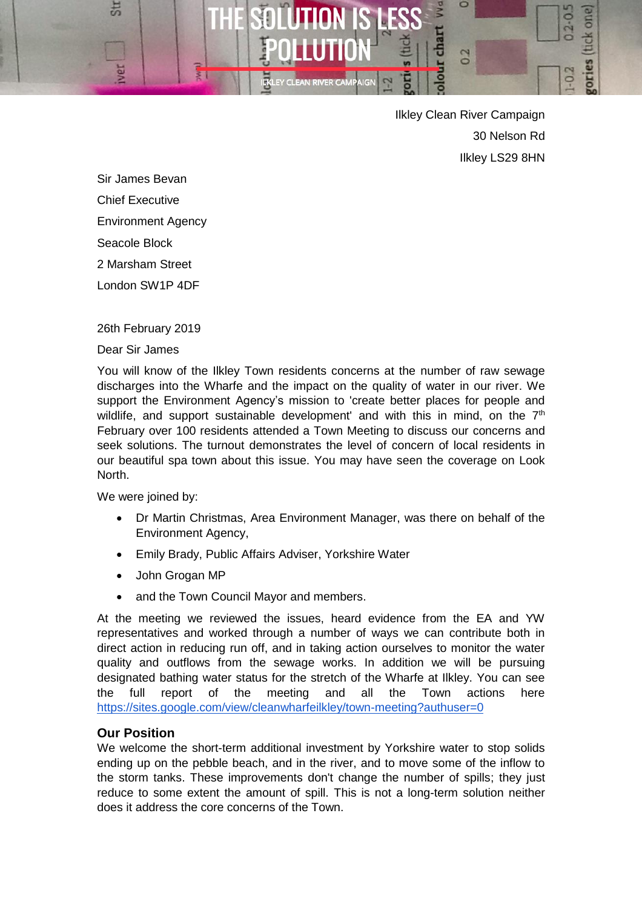

Ilkley Clean River Campaign 30 Nelson Rd Ilkley LS29 8HN

Sir James Bevan Chief Executive

Environment Agency

Seacole Block

2 Marsham Street

London SW1P 4DF

# 26th February 2019

Dear Sir James

You will know of the Ilkley Town residents concerns at the number of raw sewage discharges into the Wharfe and the impact on the quality of water in our river. We support the Environment Agency's mission to 'create better places for people and wildlife, and support sustainable development' and with this in mind, on the  $7<sup>th</sup>$ February over 100 residents attended a Town Meeting to discuss our concerns and seek solutions. The turnout demonstrates the level of concern of local residents in our beautiful spa town about this issue. You may have seen the coverage on Look North.

We were joined by:

- Dr Martin Christmas, Area Environment Manager, was there on behalf of the Environment Agency,
- Emily Brady, Public Affairs Adviser, Yorkshire Water
- John Grogan MP
- and the Town Council Mayor and members.

At the meeting we reviewed the issues, heard evidence from the EA and YW representatives and worked through a number of ways we can contribute both in direct action in reducing run off, and in taking action ourselves to monitor the water quality and outflows from the sewage works. In addition we will be pursuing designated bathing water status for the stretch of the Wharfe at Ilkley. You can see the full report of the meeting and all the Town actions here <https://sites.google.com/view/cleanwharfeilkley/town-meeting?authuser=0>

# **Our Position**

We welcome the short-term additional investment by Yorkshire water to stop solids ending up on the pebble beach, and in the river, and to move some of the inflow to the storm tanks. These improvements don't change the number of spills; they just reduce to some extent the amount of spill. This is not a long-term solution neither does it address the core concerns of the Town.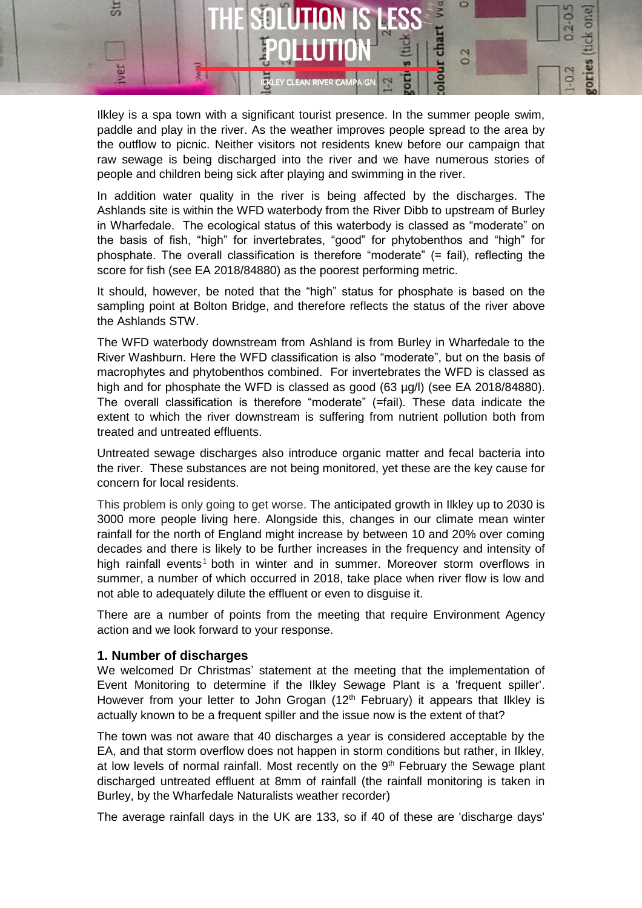

Ilkley is a spa town with a significant tourist presence. In the summer people swim, paddle and play in the river. As the weather improves people spread to the area by the outflow to picnic. Neither visitors not residents knew before our campaign that raw sewage is being discharged into the river and we have numerous stories of people and children being sick after playing and swimming in the river.

In addition water quality in the river is being affected by the discharges. The Ashlands site is within the WFD waterbody from the River Dibb to upstream of Burley in Wharfedale. The ecological status of this waterbody is classed as "moderate" on the basis of fish, "high" for invertebrates, "good" for phytobenthos and "high" for phosphate. The overall classification is therefore "moderate" (= fail), reflecting the score for fish (see EA 2018/84880) as the poorest performing metric.

It should, however, be noted that the "high" status for phosphate is based on the sampling point at Bolton Bridge, and therefore reflects the status of the river above the Ashlands STW.

The WFD waterbody downstream from Ashland is from Burley in Wharfedale to the River Washburn. Here the WFD classification is also "moderate", but on the basis of macrophytes and phytobenthos combined. For invertebrates the WFD is classed as high and for phosphate the WFD is classed as good (63 µg/l) (see EA 2018/84880). The overall classification is therefore "moderate" (=fail). These data indicate the extent to which the river downstream is suffering from nutrient pollution both from treated and untreated effluents.

Untreated sewage discharges also introduce organic matter and fecal bacteria into the river. These substances are not being monitored, yet these are the key cause for concern for local residents.

This problem is only going to get worse. The anticipated growth in Ilkley up to 2030 is 3000 more people living here. Alongside this, changes in our climate mean winter rainfall for the north of England might increase by between 10 and 20% over coming decades and there is likely to be further increases in the frequency and intensity of high rainfall events<sup>1</sup> both in winter and in summer. Moreover storm overflows in summer, a number of which occurred in 2018, take place when river flow is low and not able to adequately dilute the effluent or even to disguise it.

There are a number of points from the meeting that require Environment Agency action and we look forward to your response.

### **1. Number of discharges**

We welcomed Dr Christmas' statement at the meeting that the implementation of Event Monitoring to determine if the Ilkley Sewage Plant is a 'frequent spiller'. However from your letter to John Grogan  $(12<sup>th</sup>$  February) it appears that Ilkley is actually known to be a frequent spiller and the issue now is the extent of that?

The town was not aware that 40 discharges a year is considered acceptable by the EA, and that storm overflow does not happen in storm conditions but rather, in Ilkley, at low levels of normal rainfall. Most recently on the 9<sup>th</sup> February the Sewage plant discharged untreated effluent at 8mm of rainfall (the rainfall monitoring is taken in Burley, by the Wharfedale Naturalists weather recorder)

The average rainfall days in the UK are 133, so if 40 of these are 'discharge days'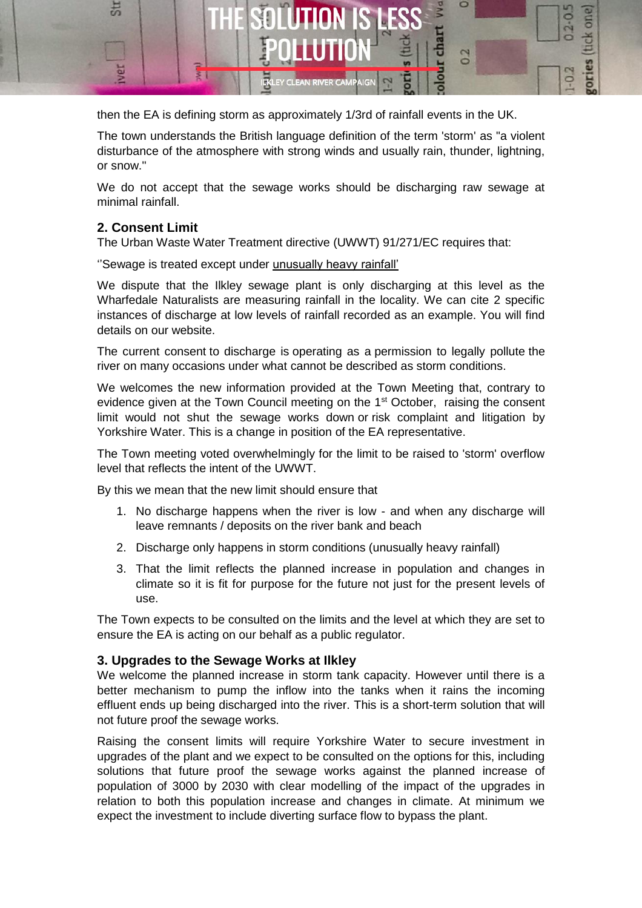

then the EA is defining storm as approximately 1/3rd of rainfall events in the UK.

The town understands the British language definition of the term 'storm' as "a violent disturbance of the atmosphere with strong winds and usually rain, thunder, lightning, or snow."

We do not accept that the sewage works should be discharging raw sewage at minimal rainfall.

# **2. Consent Limit**

The Urban Waste Water Treatment directive (UWWT) 91/271/EC requires that:

"Sewage is treated except under unusually heavy rainfall'

We dispute that the Ilkley sewage plant is only discharging at this level as the Wharfedale Naturalists are measuring rainfall in the locality. We can cite 2 specific instances of discharge at low levels of rainfall recorded as an example. You will find details on our website.

The current consent to discharge is operating as a permission to legally pollute the river on many occasions under what cannot be described as storm conditions.

We welcomes the new information provided at the Town Meeting that, contrary to evidence given at the Town Council meeting on the  $1<sup>st</sup>$  October, raising the consent limit would not shut the sewage works down or risk complaint and litigation by Yorkshire Water. This is a change in position of the EA representative.

The Town meeting voted overwhelmingly for the limit to be raised to 'storm' overflow level that reflects the intent of the UWWT.

By this we mean that the new limit should ensure that

- 1. No discharge happens when the river is low and when any discharge will leave remnants / deposits on the river bank and beach
- 2. Discharge only happens in storm conditions (unusually heavy rainfall)
- 3. That the limit reflects the planned increase in population and changes in climate so it is fit for purpose for the future not just for the present levels of use.

The Town expects to be consulted on the limits and the level at which they are set to ensure the EA is acting on our behalf as a public regulator.

### **3. Upgrades to the Sewage Works at Ilkley**

We welcome the planned increase in storm tank capacity. However until there is a better mechanism to pump the inflow into the tanks when it rains the incoming effluent ends up being discharged into the river. This is a short-term solution that will not future proof the sewage works.

Raising the consent limits will require Yorkshire Water to secure investment in upgrades of the plant and we expect to be consulted on the options for this, including solutions that future proof the sewage works against the planned increase of population of 3000 by 2030 with clear modelling of the impact of the upgrades in relation to both this population increase and changes in climate. At minimum we expect the investment to include diverting surface flow to bypass the plant.